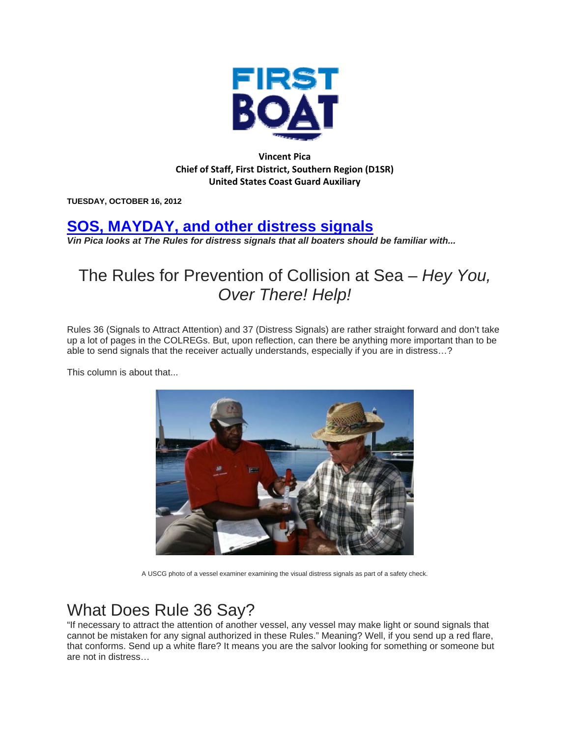

**Vincent Pica Chief of Staff, First District, Southern Region (D1SR) United States Coast Guard Auxiliary**

**TUESDAY, OCTOBER 16, 2012** 

## **SOS, MAYDAY, and other distress signals**

*Vin Pica looks at The Rules for distress signals that all boaters should be familiar with...* 

## The Rules for Prevention of Collision at Sea – *Hey You, Over There! Help!*

Rules 36 (Signals to Attract Attention) and 37 (Distress Signals) are rather straight forward and don't take up a lot of pages in the COLREGs. But, upon reflection, can there be anything more important than to be able to send signals that the receiver actually understands, especially if you are in distress…?

This column is about that...



A USCG photo of a vessel examiner examining the visual distress signals as part of a safety check.

## What Does Rule 36 Say?

"If necessary to attract the attention of another vessel, any vessel may make light or sound signals that cannot be mistaken for any signal authorized in these Rules." Meaning? Well, if you send up a red flare, that conforms. Send up a white flare? It means you are the salvor looking for something or someone but are not in distress…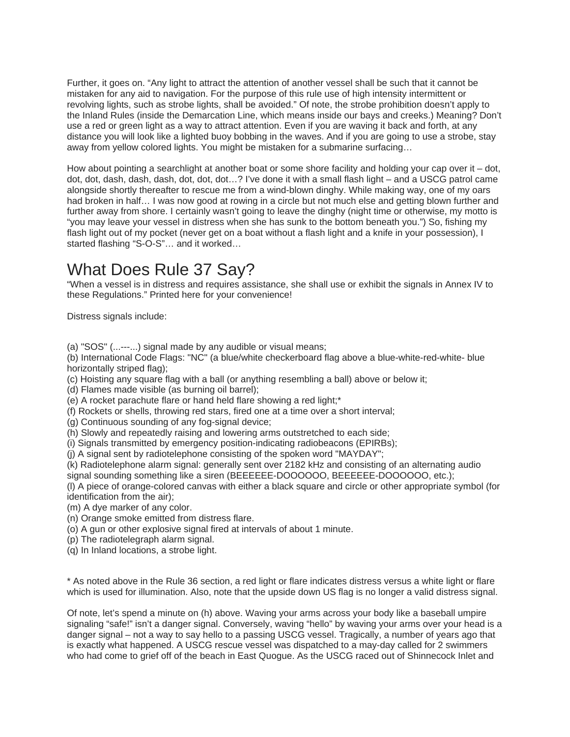Further, it goes on. "Any light to attract the attention of another vessel shall be such that it cannot be mistaken for any aid to navigation. For the purpose of this rule use of high intensity intermittent or revolving lights, such as strobe lights, shall be avoided." Of note, the strobe prohibition doesn't apply to the Inland Rules (inside the Demarcation Line, which means inside our bays and creeks.) Meaning? Don't use a red or green light as a way to attract attention. Even if you are waving it back and forth, at any distance you will look like a lighted buoy bobbing in the waves. And if you are going to use a strobe, stay away from yellow colored lights. You might be mistaken for a submarine surfacing…

How about pointing a searchlight at another boat or some shore facility and holding your cap over it  $-$  dot, dot, dot, dash, dash, dash, dot, dot, dot…? I've done it with a small flash light – and a USCG patrol came alongside shortly thereafter to rescue me from a wind-blown dinghy. While making way, one of my oars had broken in half... I was now good at rowing in a circle but not much else and getting blown further and further away from shore. I certainly wasn't going to leave the dinghy (night time or otherwise, my motto is "you may leave your vessel in distress when she has sunk to the bottom beneath you.") So, fishing my flash light out of my pocket (never get on a boat without a flash light and a knife in your possession), I started flashing "S-O-S"… and it worked…

## What Does Rule 37 Say?

"When a vessel is in distress and requires assistance, she shall use or exhibit the signals in Annex IV to these Regulations." Printed here for your convenience!

Distress signals include:

(a) "SOS" (...---...) signal made by any audible or visual means;

(b) International Code Flags: "NC" (a blue/white checkerboard flag above a blue-white-red-white- blue horizontally striped flag);

(c) Hoisting any square flag with a ball (or anything resembling a ball) above or below it;

(d) Flames made visible (as burning oil barrel);

(e) A rocket parachute flare or hand held flare showing a red light;\*

(f) Rockets or shells, throwing red stars, fired one at a time over a short interval;

(g) Continuous sounding of any fog-signal device;

(h) Slowly and repeatedly raising and lowering arms outstretched to each side;

(i) Signals transmitted by emergency position-indicating radiobeacons (EPIRBs);

(j) A signal sent by radiotelephone consisting of the spoken word "MAYDAY";

(k) Radiotelephone alarm signal: generally sent over 2182 kHz and consisting of an alternating audio signal sounding something like a siren (BEEEEEE-DOOOOOO, BEEEEEE-DOOOOOO, etc.);

(l) A piece of orange-colored canvas with either a black square and circle or other appropriate symbol (for identification from the air);

(m) A dye marker of any color.

(n) Orange smoke emitted from distress flare.

(o) A gun or other explosive signal fired at intervals of about 1 minute.

(p) The radiotelegraph alarm signal.

(q) In Inland locations, a strobe light.

\* As noted above in the Rule 36 section, a red light or flare indicates distress versus a white light or flare which is used for illumination. Also, note that the upside down US flag is no longer a valid distress signal.

Of note, let's spend a minute on (h) above. Waving your arms across your body like a baseball umpire signaling "safe!" isn't a danger signal. Conversely, waving "hello" by waving your arms over your head is a danger signal – not a way to say hello to a passing USCG vessel. Tragically, a number of years ago that is exactly what happened. A USCG rescue vessel was dispatched to a may-day called for 2 swimmers who had come to grief off of the beach in East Quogue. As the USCG raced out of Shinnecock Inlet and